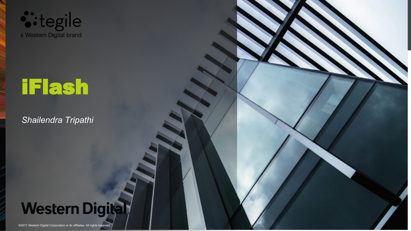**:** tegile a Western Digital brand

#### iFlash

*Shailendra Tripathi*

#### **Western Digital**

©2017 Western Digital Corporation or its affiliates. All rights reserved.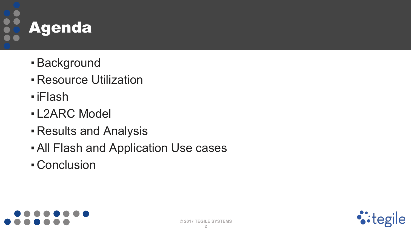

- **Background**
- **Resource Utilization**
- ▪iFlash
- **-L2ARC Model**
- ▪Results and Analysis
- **All Flash and Application Use cases**
- ▪Conclusion



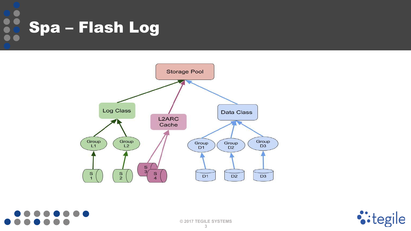





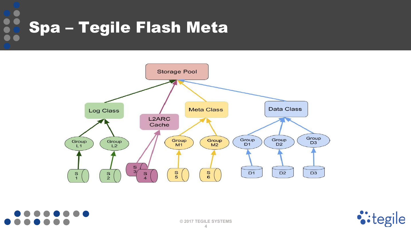Spa – Tegile Flash Meta





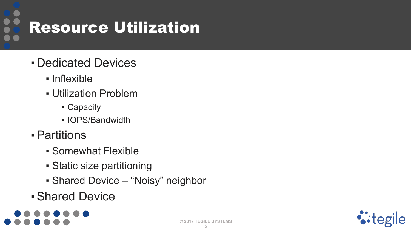## Resource Utilization

- ▪Dedicated Devices
	- Inflexible
	- Utilization Problem
		- **Capacity**
		- IOPS/Bandwidth
- ▪Partitions
	- **Somewhat Flexible**
	- **Example 3 Static size partitioning**
	- Shared Device "Noisy" neighbor
- **Shared Device**



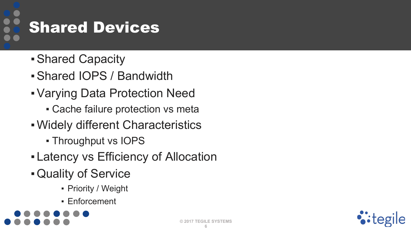## Shared Devices

- **Shared Capacity**
- ▪Shared IOPS / Bandwidth
- ▪Varying Data Protection Need
	- Cache failure protection vs meta
- ▪Widely different Characteristics
	- Throughput vs IOPS
- **-Latency vs Efficiency of Allocation**
- ▪Quality of Service
	- **Priority / Weight**
	- **Enforcement**



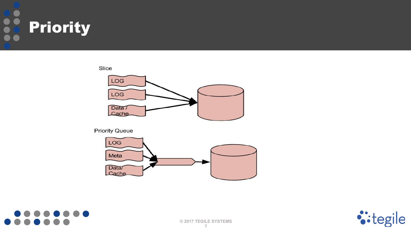

Slice LOG LOG Data / Cache **Priority Queue** LOG Meta Data/ Cache



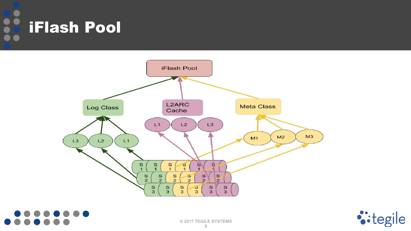





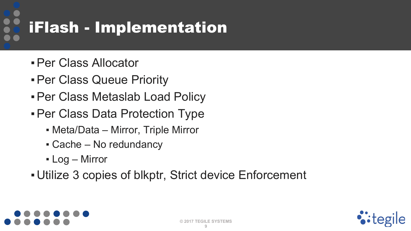### iFlash - Implementation

- ▪Per Class Allocator
- **Per Class Queue Priority**
- **Per Class Metaslab Load Policy**
- **Per Class Data Protection Type** 
	- Meta/Data Mirror, Triple Mirror
	- Cache No redundancy
	- Log Mirror
- ▪Utilize 3 copies of blkptr, Strict device Enforcement



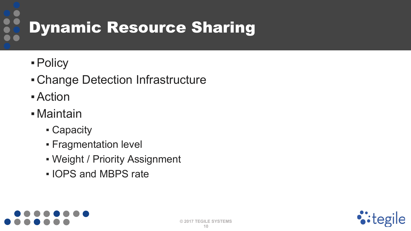#### Dynamic Resource Sharing

- ▪Policy
- **Example Detection Infrastructure**
- Action
- Maintain
	- **Capacity**
	- **Exagmentation level**
	- **Weight / Priority Assignment**
	- IOPS and MBPS rate



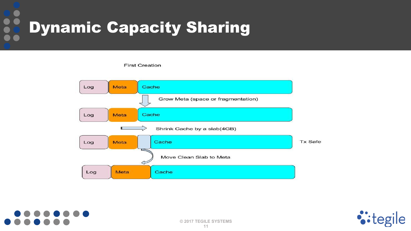### Dynamic Capacity Sharing

#### **First Creation**





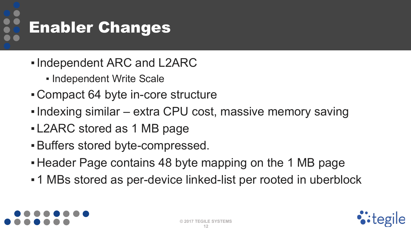## Enabler Changes

- ▪Independent ARC and L2ARC
	- **Independent Write Scale**
- ▪Compact 64 byte in-core structure
- ▪Indexing similar extra CPU cost, massive memory saving
- L2ARC stored as 1 MB page
- ▪Buffers stored byte-compressed.
- ▪Header Page contains 48 byte mapping on the 1 MB page
- 1 MBs stored as per-device linked-list per rooted in uberblock



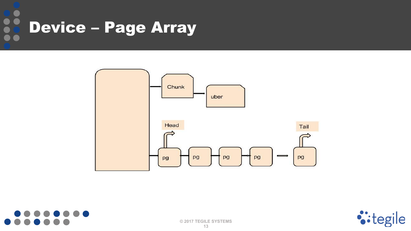## **Device – Page Array**





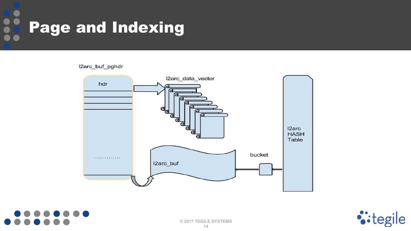# **Page and Indexing**

#### l2arc\_buf\_pghdr





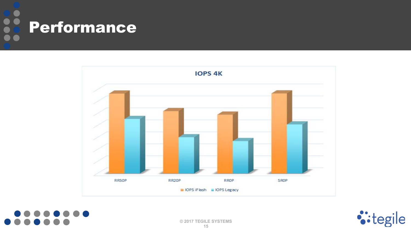



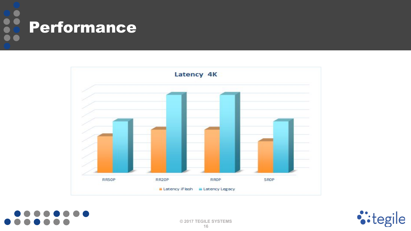



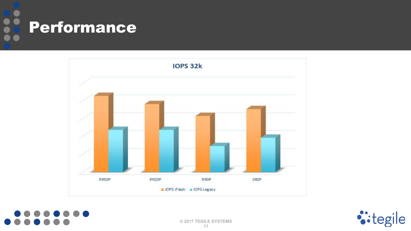



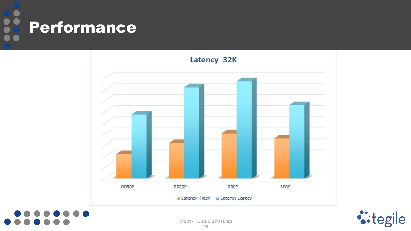



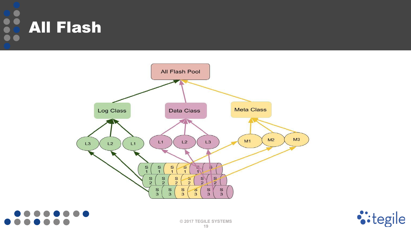# **OS**<br> **All Flash**